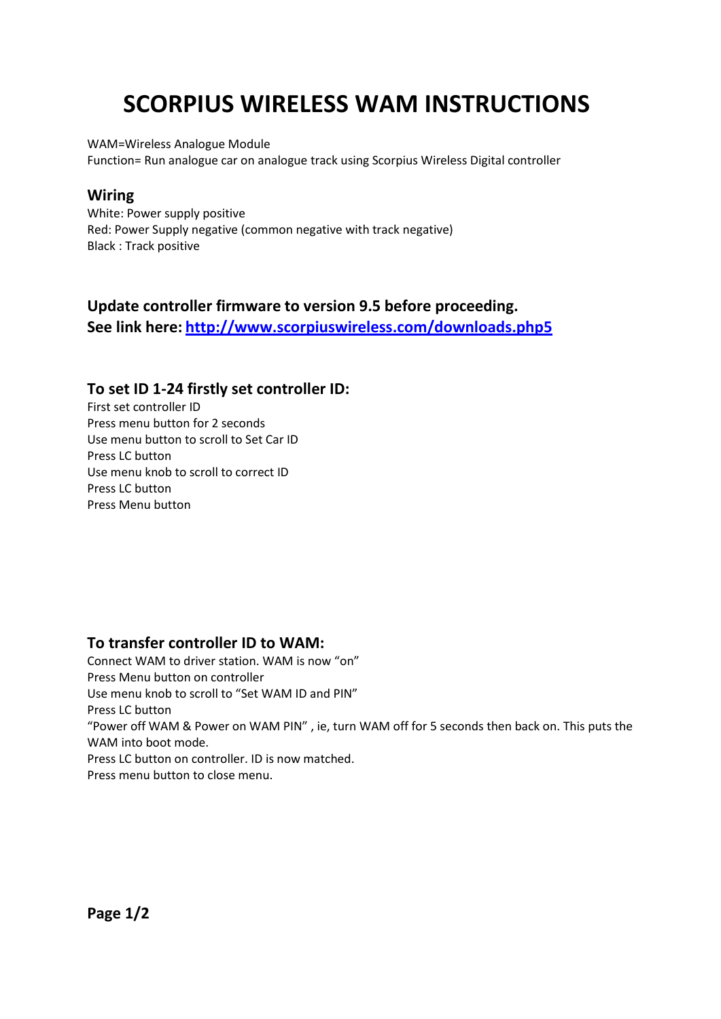# **SCORPIUS WIRELESS WAM INSTRUCTIONS**

WAM=Wireless Analogue Module

Function= Run analogue car on analogue track using Scorpius Wireless Digital controller

#### **Wiring**

White: Power supply positive Red: Power Supply negative (common negative with track negative) Black : Track positive

### **Update controller firmware to version 9.5 before proceeding. See link here: <http://www.scorpiuswireless.com/downloads.php5>**

#### **To set ID 1-24 firstly set controller ID:**

First set controller ID Press menu button for 2 seconds Use menu button to scroll to Set Car ID Press LC button Use menu knob to scroll to correct ID Press LC button Press Menu button

#### **To transfer controller ID to WAM:**

Connect WAM to driver station. WAM is now "on" Press Menu button on controller Use menu knob to scroll to "Set WAM ID and PIN" Press LC button "Power off WAM & Power on WAM PIN" , ie, turn WAM off for 5 seconds then back on. This puts the WAM into boot mode. Press LC button on controller. ID is now matched. Press menu button to close menu.